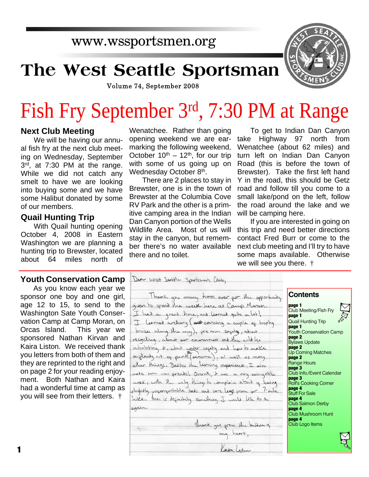## www.wssportsmen.org

## **The West Seattle Sportsman**



Volume 74, September 2008

# Fish Fry September 3rd, 7:30 PM at Range

#### **Next Club Meeting**

We will be having our annual fish fry at the next club meeting on Wednesday, September 3 rd, at 7:30 PM at the range. While we did not catch any smelt to have we are looking into buying some and we have some Halibut donated by some of our members.

#### **Quail Hunting Trip**

With Quail hunting opening October 4, 2008 in Eastern Washington we are planning a hunting trip to Brewster, located about 64 miles north of

#### **Youth Conservation Camp**

As you know each year we sponsor one boy and one girl, age 12 to 15, to send to the Washington Sate Youth Conservation Camp at Camp Moran, on Orcas Island. This year we sponsored Nathan Kirvan and Kaira Liston. We received thank you letters from both of them and they are reprinted to the right and on page 2 for your reading enjoyment. Both Nathan and Kaira had a wonderful time at camp as you will see from their letters. †

Wenatchee. Rather than going opening weekend we are earmarking the following weekend, October  $10^{th} - 12^{th}$ , for our trip with some of us going up on Wednesday October 8<sup>th</sup>.

There are 2 places to stay in Brewster, one is in the town of Brewster at the Columbia Cove RV Park and the other is a primitive camping area in the Indian Dan Canyon portion of the Wells Wildlife Area. Most of us will stay in the canyon, but remember there's no water available there and no toilet.

To get to Indian Dan Canyon take Highway 97 north from Wenatchee (about 62 miles) and turn left on Indian Dan Canyon Road (this is before the town of Brewster). Take the first left hand Y in the road, this should be Getz road and follow till you come to a small lake/pond on the left, follow the road around the lake and we will be camping here.

If you are interested in going on this trip and need better directions contact Fred Burr or come to the next club meeting and I'll try to have some maps available. Otherwise we will see you there. †

| Dear West Seattle Sportsmarts Club,                       |  |
|-----------------------------------------------------------|--|
| Thank you many times over gor the opportunity             |  |
| given to spend the week here at Camp Moran.               |  |
| I had a great time, and learned quite a lot!              |  |
| I learned archivy ( and earning a couple of trophy        |  |
|                                                           |  |
| brises along the way), fream sapity, about                |  |
| recycling, about our environment and the wild life        |  |
| inhabiting it, about water sapety and how to make         |  |
| a glanty out of parts (anisome), a well as many           |  |
| other things. Besides the Leoning experience, I also      |  |
|                                                           |  |
| mode some new priceds. Overall, it was a very evineyable  |  |
| week, with the only things to complain about of being     |  |
| dightly uncompartable beds and sore least from our 1 mile |  |
| hike. his is definiting something I would like to do      |  |
| again.                                                    |  |
|                                                           |  |
|                                                           |  |
|                                                           |  |
| Thank you, gram the bottom of                             |  |
|                                                           |  |

Kainleston

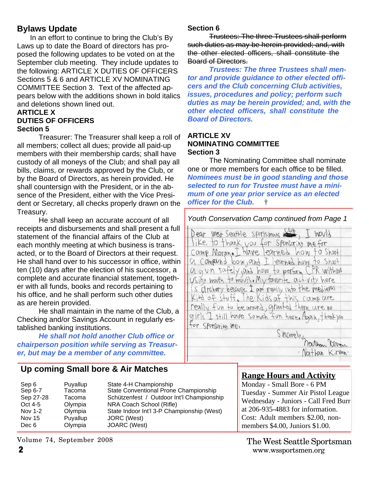#### **Bylaws Update**

In an effort to continue to bring the Club's By Laws up to date the Board of directors has proposed the following updates to be voted on at the September club meeting. They include updates to the following: ARTICLE X DUTIES OF OFFICERS Sections 5 & 6 and ARTICLE XV NOMINATING COMMITTEE Section 3. Text of the affected appears below with the additions shown in bold italics and deletions shown lined out.

#### **ARTICLE X DUTIES OF OFFICERS Section 5**

Treasurer: The Treasurer shall keep a roll of all members; collect all dues; provide all paid-up members with their membership cards; shall have custody of all moneys of the Club; and shall pay all bills, claims, or rewards approved by the Club, or by the Board of Directors, as herein provided. He shall countersign with the President, or in the absence of the President, either with the Vice President or Secretary, all checks properly drawn on the Treasury.

He shall keep an accurate account of all receipts and disbursements and shall present a full statement of the financial affairs of the Club at each monthly meeting at which business is transacted, or to the Board of Directors at their request. He shall hand over to his successor in office, within ten (10) days after the election of his successor, a complete and accurate financial statement, together with all funds, books and records pertaining to his office, and he shall perform such other duties as are herein provided.

He shall maintain in the name of the Club, a Checking and/or Savings Account in regularly established banking institutions.

*He shall not hold another Club office or chairperson position while serving as Treasurer, but may be a member of any committee.*

#### **Up coming Small bore & Air Matches**

| Puyallup<br>Sep 6<br>Tacoma<br>Sep 6-7<br>Sep 27-28<br>Tacoma<br>Oct 4-5<br>Olympia<br>Olympia<br>Nov 1-2<br>Puyallup<br><b>Nov 15</b><br>Olympia<br>Dec 6 | State 4-H Championship<br>State Conventional Prone Championship<br>Schützenfest / Outdoor Int'l Championship<br>NRA Coach School (Rifle)<br>State Indoor Int'l 3-P Championship (West)<br>JORC (West)<br>JOARC (West) |
|------------------------------------------------------------------------------------------------------------------------------------------------------------|-----------------------------------------------------------------------------------------------------------------------------------------------------------------------------------------------------------------------|
|------------------------------------------------------------------------------------------------------------------------------------------------------------|-----------------------------------------------------------------------------------------------------------------------------------------------------------------------------------------------------------------------|

**Section 6**

Trustees: The three Trustees shall perform such duties as may be herein provided; and, with the other elected officers, shall constitute the Board of Directors.

*Trustees: The three Trustees shall mentor and provide guidance to other elected officers and the Club concerning Club activities, issues, procedures and policy; perform such duties as may be herein provided; and, with the other elected officers, shall constitute the Board of Directors.*

#### **ARTICLE XV NOMINATING COMMITTEE Section 3**

The Nominating Committee shall nominate one or more members for each office to be filled. *Nominees must be in good standing and those selected to run for Trustee must have a minimum of one year prior service as an elected officer for the Club.* †

#### *Youth Conservation Camp continued from Page 1*

Dear West Seattle sportsmans Sub, I would like to thank you for sponsoring mefor Camp Moran. I have learned how to shoot a compuned bow, and I learned how to shoot a gun safely, and how to perform CPR without US The mouth to mouth. My favorite activity here is ofrchery because I am really into the medieval Kind of stuff. The Kids af this camp are really fun to be around, granted there are no girls I still have somech fun here. Again, thankyou for sponsoring me. Sincerely<br>Mathon Pieron<br>Mathan Kirvan

- Nathan Kirvan

#### **Range Hours and Activity**

Monday - Small Bore - 6 PM Tuesday - Summer Air Pistol League Wednesday - Juniors - Call Fred Burr at 206-935-4883 for information. Cost: Adult members \$2.00, nonmembers \$4.00, Juniors \$1.00.

**2** www.wssportsmen.org The West Seattle Sportsman

Volume 74, September 2008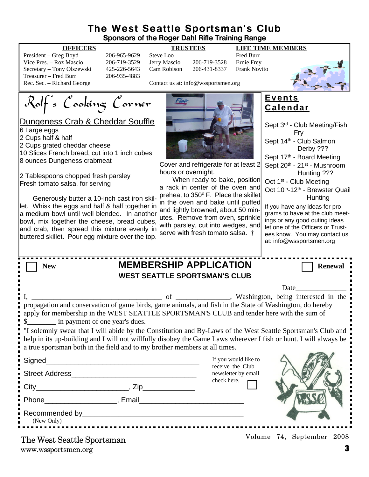#### **The West Seattle Sportsman's Club Sponsors of the Roger Dahl Rifle Training Range**

#### **OFFICERS TRUSTEES LIFE TIME MEMBERS**

President – Greg Boyd 206-965-9629 Steve Loo Fred Burr<br>Vice Pres. – Roz Mascio 206-719-3529 Jerry Mascio 206-719-3528 Ernie Frev Vice Pres. – Roz Mascio 206-719-3529 Jerry Mascio Secretary – Tony Olszewski 425-226-5643 Cam Robison 206-431-8337 Frank Novito Treasurer – Fred Burr 206-935-4883<br>Rec. Sec. – Richard George



Contact us at: info@wssportsmen.org

Rolf's Cooking Corner



#### **Events Calendar**

| <u><b>Dungeness Crab &amp; Cheddar Souffle</b></u><br>Large eggs<br>Cups half & half<br>Cups grated cheddar cheese<br>0 Slices French bread, cut into 1 inch cubes<br>ounces Dungeness crabmeat<br>: Tablespoons chopped fresh parsley<br>resh tomato salsa, for serving<br>Generously butter a 10-inch cast iron skil-<br>et. Whisk the eggs and half & half together in<br>medium bowl until well blended. In another<br>owl, mix together the cheese, bread cubes,<br>ind crab, then spread this mixture evenly in                                                          | Cover and refrigerate for at least 2<br>hours or overnight.<br>When ready to bake, position<br>a rack in center of the oven and<br>preheat to 350° F. Place the skillet<br>in the oven and bake until puffed<br>and lightly browned, about 50 min-<br>utes. Remove from oven, sprinkle<br>with parsley, cut into wedges, and<br>serve with fresh tomato salsa. † | Sept 3rd - Club Meeting/Fish<br>Fry<br>Sept 14 <sup>th</sup> - Club Salmon<br>Derby ???<br>Sept 17th - Board Meeting<br>Sept 20th - 21st - Mushroom<br>Hunting ???<br>Oct 1 <sup>st</sup> - Club Meeting<br>Oct 10th-12th - Brewster Quail<br>Hunting<br>If you have any ideas for pro-<br>grams to have at the club meet-<br>ings or any good outing ideas<br>let one of the Officers or Trust-<br>ees know. You may contact us |  |  |
|--------------------------------------------------------------------------------------------------------------------------------------------------------------------------------------------------------------------------------------------------------------------------------------------------------------------------------------------------------------------------------------------------------------------------------------------------------------------------------------------------------------------------------------------------------------------------------|------------------------------------------------------------------------------------------------------------------------------------------------------------------------------------------------------------------------------------------------------------------------------------------------------------------------------------------------------------------|----------------------------------------------------------------------------------------------------------------------------------------------------------------------------------------------------------------------------------------------------------------------------------------------------------------------------------------------------------------------------------------------------------------------------------|--|--|
| uttered skillet. Pour egg mixture over the top.<br><b>New</b>                                                                                                                                                                                                                                                                                                                                                                                                                                                                                                                  | <b>MEMBERSHIP APPLICATION</b>                                                                                                                                                                                                                                                                                                                                    | at: info@wssportsmen.org<br><b>Renewal</b>                                                                                                                                                                                                                                                                                                                                                                                       |  |  |
| <b>WEST SEATTLE SPORTSMAN'S CLUB</b>                                                                                                                                                                                                                                                                                                                                                                                                                                                                                                                                           |                                                                                                                                                                                                                                                                                                                                                                  |                                                                                                                                                                                                                                                                                                                                                                                                                                  |  |  |
| Ι.<br>propagation and conservation of game birds, game animals, and fish in the State of Washington, do hereby<br>apply for membership in the WEST SEATTLE SPORTSMAN'S CLUB and tender here with the sum of<br>\$____________ in payment of one year's dues.<br>"I solemnly swear that I will abide by the Constitution and By-Laws of the West Seattle Sportsman's Club and<br>help in its up-building and I will not willfully disobey the Game Laws wherever I fish or hunt. I will always be<br>a true sportsman both in the field and to my brother members at all times. |                                                                                                                                                                                                                                                                                                                                                                  | Date                                                                                                                                                                                                                                                                                                                                                                                                                             |  |  |
| Signed_                                                                                                                                                                                                                                                                                                                                                                                                                                                                                                                                                                        | If you would like to<br>receive the Club                                                                                                                                                                                                                                                                                                                         |                                                                                                                                                                                                                                                                                                                                                                                                                                  |  |  |
| Street Address and the state of the state of the state of the state of the state of the state of the state of the state of the state of the state of the state of the state of the state of the state of the state of the stat                                                                                                                                                                                                                                                                                                                                                 | newsletter by email                                                                                                                                                                                                                                                                                                                                              |                                                                                                                                                                                                                                                                                                                                                                                                                                  |  |  |
|                                                                                                                                                                                                                                                                                                                                                                                                                                                                                                                                                                                | check here.                                                                                                                                                                                                                                                                                                                                                      |                                                                                                                                                                                                                                                                                                                                                                                                                                  |  |  |
| Phone Reserves and Phone Reserves and Phone Reserves and Phone Reserves and Phone Reserves and Phone Reserves and Phone Reserves and Phone Reserves and Phone Reserves and Phone Reserves and Phone Reserves and Phone Reserve                                                                                                                                                                                                                                                                                                                                                 |                                                                                                                                                                                                                                                                                                                                                                  |                                                                                                                                                                                                                                                                                                                                                                                                                                  |  |  |
| Recommended by                                                                                                                                                                                                                                                                                                                                                                                                                                                                                                                                                                 |                                                                                                                                                                                                                                                                                                                                                                  |                                                                                                                                                                                                                                                                                                                                                                                                                                  |  |  |

www.wssportsmen.org **3** The West Seattle Sportsman

Recommended by

(New Only)

Volume 74, September 2008